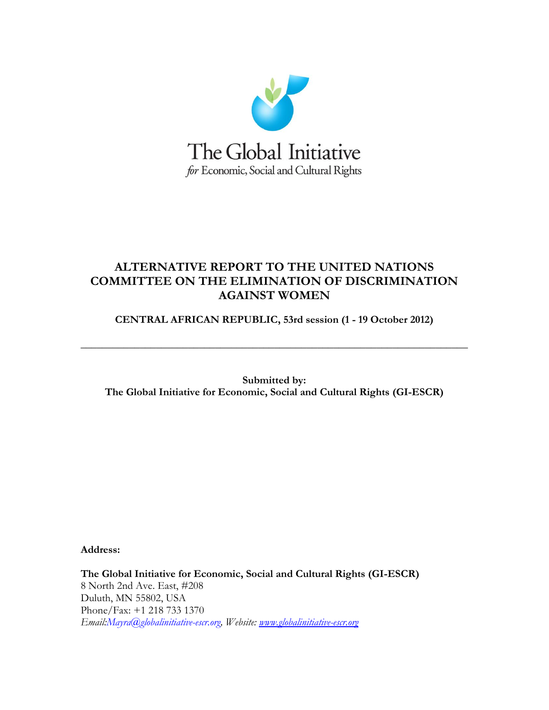

# **ALTERNATIVE REPORT TO THE UNITED NATIONS COMMITTEE ON THE ELIMINATION OF DISCRIMINATION AGAINST WOMEN**

**CENTRAL AFRICAN REPUBLIC, 53rd session (1 - 19 October 2012)**

**\_\_\_\_\_\_\_\_\_\_\_\_\_\_\_\_\_\_\_\_\_\_\_\_\_\_\_\_\_\_\_\_\_\_\_\_\_\_\_\_\_\_\_\_\_\_\_\_\_\_\_\_\_\_\_\_\_\_\_\_\_\_\_\_\_\_\_\_\_\_\_\_**

**Submitted by: The Global Initiative for Economic, Social and Cultural Rights (GI-ESCR)** 

**Address:**

**The Global Initiative for Economic, Social and Cultural Rights (GI-ESCR)** 8 North 2nd Ave. East, #208 Duluth, MN 55802, USA Phone/Fax: +1 218 733 1370 *Email:Mayra@globalinitiative-escr.org, Website: [www.globalinitiative-escr.org](http://www.globalinitiative-escr.org/)*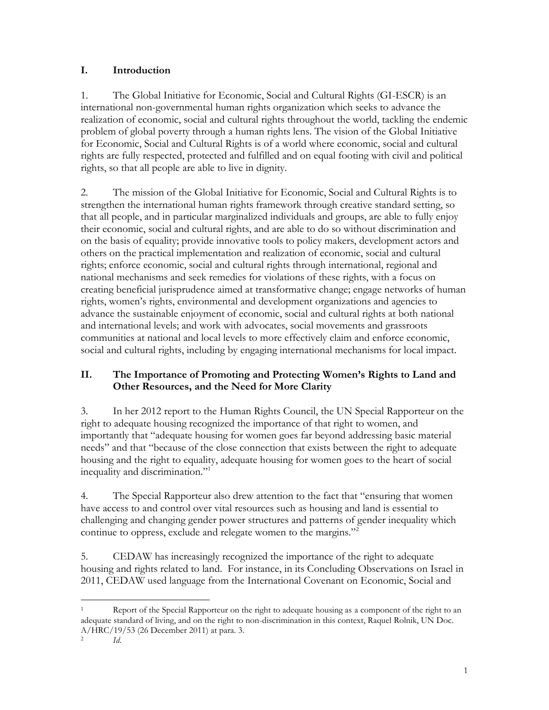### **I. Introduction**

1. The Global Initiative for Economic, Social and Cultural Rights (GI-ESCR) is an international non-governmental human rights organization which seeks to advance the realization of economic, social and cultural rights throughout the world, tackling the endemic problem of global poverty through a human rights lens. The vision of the Global Initiative for Economic, Social and Cultural Rights is of a world where economic, social and cultural rights are fully respected, protected and fulfilled and on equal footing with civil and political rights, so that all people are able to live in dignity*.*

2. The mission of the Global Initiative for Economic, Social and Cultural Rights is to strengthen the international human rights framework through creative standard setting, so that all people, and in particular marginalized individuals and groups, are able to fully enjoy their economic, social and cultural rights, and are able to do so without discrimination and on the basis of equality; provide innovative tools to policy makers, development actors and others on the practical implementation and realization of economic, social and cultural rights; enforce economic, social and cultural rights through international, regional and national mechanisms and seek remedies for violations of these rights, with a focus on creating beneficial jurisprudence aimed at transformative change; engage networks of human rights, women"s rights, environmental and development organizations and agencies to advance the sustainable enjoyment of economic, social and cultural rights at both national and international levels; and work with advocates, social movements and grassroots communities at national and local levels to more effectively claim and enforce economic, social and cultural rights, including by engaging international mechanisms for local impact.

## **II. The Importance of Promoting and Protecting Women's Rights to Land and Other Resources, and the Need for More Clarity**

3. In her 2012 report to the Human Rights Council, the UN Special Rapporteur on the right to adequate housing recognized the importance of that right to women, and importantly that "adequate housing for women goes far beyond addressing basic material needs" and that "because of the close connection that exists between the right to adequate housing and the right to equality, adequate housing for women goes to the heart of social inequality and discrimination."<sup>1</sup>

4. The Special Rapporteur also drew attention to the fact that "ensuring that women have access to and control over vital resources such as housing and land is essential to challenging and changing gender power structures and patterns of gender inequality which continue to oppress, exclude and relegate women to the margins."<sup>2</sup>

5. CEDAW has increasingly recognized the importance of the right to adequate housing and rights related to land. For instance, in its Concluding Observations on Israel in 2011, CEDAW used language from the International Covenant on Economic, Social and

 $\overline{a}$ 

Report of the Special Rapporteur on the right to adequate housing as a component of the right to an adequate standard of living, and on the right to non-discrimination in this context, Raquel Rolnik, UN Doc. A/HRC/19/53 (26 December 2011) at para. 3. *Id*.

<sup>2</sup>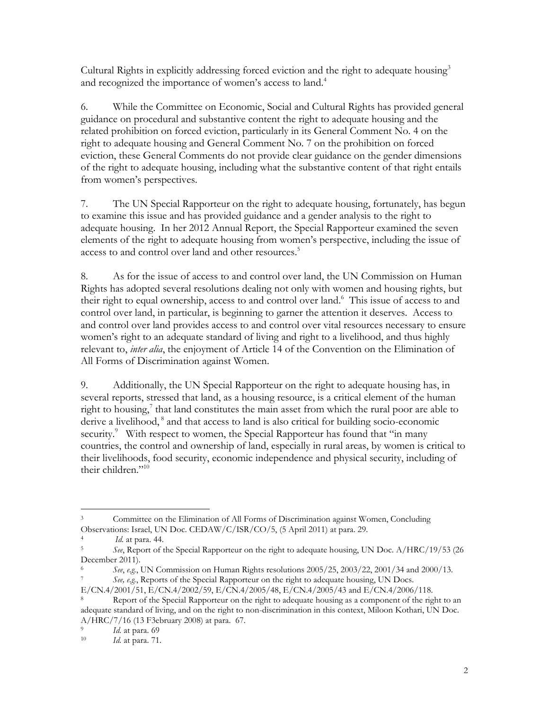Cultural Rights in explicitly addressing forced eviction and the right to adequate housing $3$ and recognized the importance of women's access to land.<sup>4</sup>

6. While the Committee on Economic, Social and Cultural Rights has provided general guidance on procedural and substantive content the right to adequate housing and the related prohibition on forced eviction, particularly in its General Comment No. 4 on the right to adequate housing and General Comment No. 7 on the prohibition on forced eviction, these General Comments do not provide clear guidance on the gender dimensions of the right to adequate housing, including what the substantive content of that right entails from women"s perspectives.

7. The UN Special Rapporteur on the right to adequate housing, fortunately, has begun to examine this issue and has provided guidance and a gender analysis to the right to adequate housing. In her 2012 Annual Report, the Special Rapporteur examined the seven elements of the right to adequate housing from women"s perspective, including the issue of access to and control over land and other resources.<sup>5</sup>

8. As for the issue of access to and control over land, the UN Commission on Human Rights has adopted several resolutions dealing not only with women and housing rights, but their right to equal ownership, access to and control over land.<sup>6</sup> This issue of access to and control over land, in particular, is beginning to garner the attention it deserves. Access to and control over land provides access to and control over vital resources necessary to ensure women"s right to an adequate standard of living and right to a livelihood, and thus highly relevant to, *inter alia*, the enjoyment of Article 14 of the Convention on the Elimination of All Forms of Discrimination against Women.

9. Additionally, the UN Special Rapporteur on the right to adequate housing has, in several reports, stressed that land, as a housing resource, is a critical element of the human right to housing, $\frac{7}{1}$  that land constitutes the main asset from which the rural poor are able to derive a livelihood,<sup>8</sup> and that access to land is also critical for building socio-economic security.<sup>9</sup> With respect to women, the Special Rapporteur has found that "in many countries, the control and ownership of land, especially in rural areas, by women is critical to their livelihoods, food security, economic independence and physical security, including of their children."<sup>10</sup>

 $\overline{a}$ 3 Committee on the Elimination of All Forms of Discrimination against Women, Concluding Observations: Israel, UN Doc. CEDAW/C/ISR/CO/5, (5 April 2011) at para. 29.

<sup>4</sup> *Id.* at para. 44.

<sup>5</sup> *See*, Report of the Special Rapporteur on the right to adequate housing, UN Doc. A/HRC/19/53 (26 December 2011).

<sup>6</sup> *See*, *e.g.*, UN Commission on Human Rights resolutions 2005/25, 2003/22, 2001/34 and 2000/13. 7 *See, e.g.*, Reports of the Special Rapporteur on the right to adequate housing, UN Docs.

E/CN.4/2001/51, E/CN.4/2002/59, E/CN.4/2005/48, E/CN.4/2005/43 and E/CN.4/2006/118.

Report of the Special Rapporteur on the right to adequate housing as a component of the right to an adequate standard of living, and on the right to non-discrimination in this context, Miloon Kothari, UN Doc. A/HRC/7/16 (13 F3ebruary 2008) at para. 67.

<sup>9</sup> *Id.* at para. 69

<sup>10</sup> *Id.* at para. 71.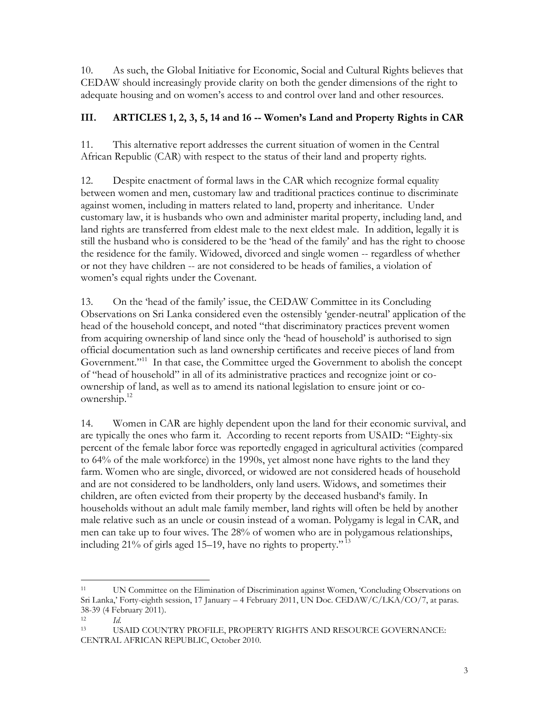10. As such, the Global Initiative for Economic, Social and Cultural Rights believes that CEDAW should increasingly provide clarity on both the gender dimensions of the right to adequate housing and on women"s access to and control over land and other resources.

# **III. ARTICLES 1, 2, 3, 5, 14 and 16 -- Women's Land and Property Rights in CAR**

11. This alternative report addresses the current situation of women in the Central African Republic (CAR) with respect to the status of their land and property rights.

12. Despite enactment of formal laws in the CAR which recognize formal equality between women and men, customary law and traditional practices continue to discriminate against women, including in matters related to land, property and inheritance. Under customary law, it is husbands who own and administer marital property, including land, and land rights are transferred from eldest male to the next eldest male. In addition, legally it is still the husband who is considered to be the "head of the family" and has the right to choose the residence for the family. Widowed, divorced and single women -- regardless of whether or not they have children -- are not considered to be heads of families, a violation of women"s equal rights under the Covenant.

13. On the "head of the family" issue, the CEDAW Committee in its Concluding Observations on Sri Lanka considered even the ostensibly "gender-neutral" application of the head of the household concept, and noted "that discriminatory practices prevent women from acquiring ownership of land since only the "head of household" is authorised to sign official documentation such as land ownership certificates and receive pieces of land from Government."<sup>11</sup> In that case, the Committee urged the Government to abolish the concept of "head of household" in all of its administrative practices and recognize joint or coownership of land, as well as to amend its national legislation to ensure joint or coownership.<sup>12</sup> 

14. Women in CAR are highly dependent upon the land for their economic survival, and are typically the ones who farm it. According to recent reports from USAID: "Eighty-six percent of the female labor force was reportedly engaged in agricultural activities (compared to 64% of the male workforce) in the 1990s, yet almost none have rights to the land they farm. Women who are single, divorced, or widowed are not considered heads of household and are not considered to be landholders, only land users. Widows, and sometimes their children, are often evicted from their property by the deceased husband"s family. In households without an adult male family member, land rights will often be held by another male relative such as an uncle or cousin instead of a woman. Polygamy is legal in CAR, and men can take up to four wives. The 28% of women who are in polygamous relationships, including 21% of girls aged 15–19, have no rights to property." <sup>13</sup>

 $\overline{a}$ 

<sup>11</sup> UN Committee on the Elimination of Discrimination against Women, "Concluding Observations on Sri Lanka,' Forty-eighth session, 17 January – 4 February 2011, UN Doc. CEDAW/C/LKA/CO/7, at paras. 38-39 (4 February 2011).

<sup>12</sup> *Id.*

<sup>13</sup> USAID COUNTRY PROFILE, PROPERTY RIGHTS AND RESOURCE GOVERNANCE: CENTRAL AFRICAN REPUBLIC, October 2010.